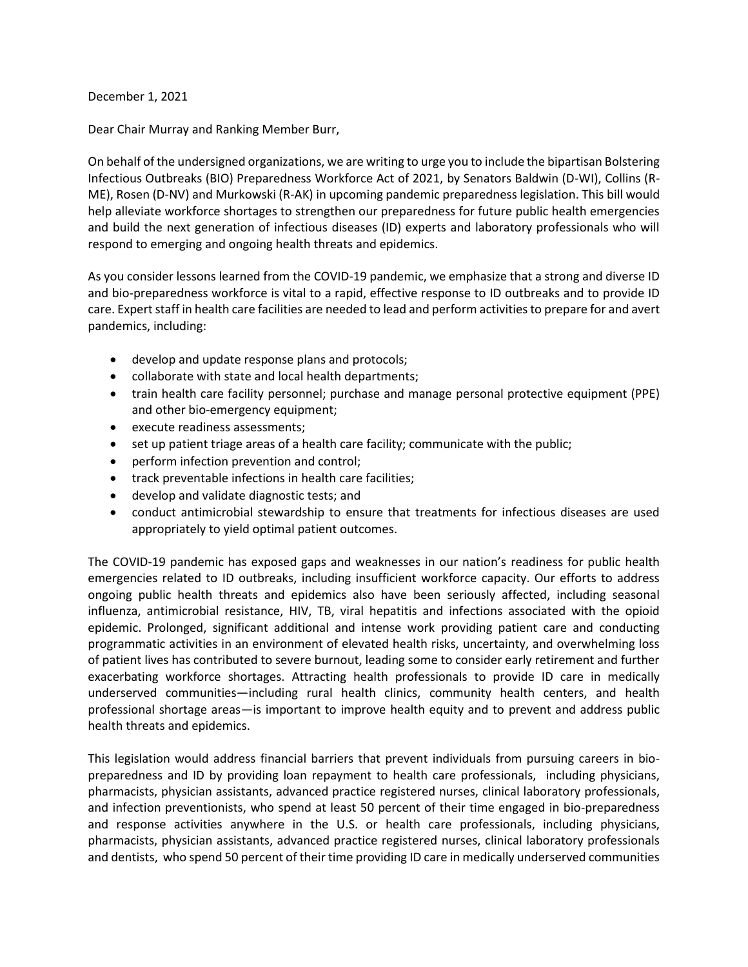December 1, 2021

Dear Chair Murray and Ranking Member Burr,

On behalf of the undersigned organizations, we are writing to urge you to include the bipartisan Bolstering Infectious Outbreaks (BIO) Preparedness Workforce Act of 2021, by Senators Baldwin (D-WI), Collins (R-ME), Rosen (D-NV) and Murkowski (R-AK) in upcoming pandemic preparedness legislation. This bill would help alleviate workforce shortages to strengthen our preparedness for future public health emergencies and build the next generation of infectious diseases (ID) experts and laboratory professionals who will respond to emerging and ongoing health threats and epidemics.

As you consider lessons learned from the COVID-19 pandemic, we emphasize that a strong and diverse ID and bio-preparedness workforce is vital to a rapid, effective response to ID outbreaks and to provide ID care. Expert staff in health care facilities are needed to lead and perform activities to prepare for and avert pandemics, including:

- develop and update response plans and protocols;
- collaborate with state and local health departments;
- train health care facility personnel; purchase and manage personal protective equipment (PPE) and other bio-emergency equipment;
- execute readiness assessments;
- set up patient triage areas of a health care facility; communicate with the public;
- perform infection prevention and control;
- track preventable infections in health care facilities;
- develop and validate diagnostic tests; and
- conduct antimicrobial stewardship to ensure that treatments for infectious diseases are used appropriately to yield optimal patient outcomes.

The COVID-19 pandemic has exposed gaps and weaknesses in our nation's readiness for public health emergencies related to ID outbreaks, including insufficient workforce capacity. Our efforts to address ongoing public health threats and epidemics also have been seriously affected, including seasonal influenza, antimicrobial resistance, HIV, TB, viral hepatitis and infections associated with the opioid epidemic. Prolonged, significant additional and intense work providing patient care and conducting programmatic activities in an environment of elevated health risks, uncertainty, and overwhelming loss of patient lives has contributed to severe burnout, leading some to consider early retirement and further exacerbating workforce shortages. Attracting health professionals to provide ID care in medically underserved communities—including rural health clinics, community health centers, and health professional shortage areas—is important to improve health equity and to prevent and address public health threats and epidemics.

This legislation would address financial barriers that prevent individuals from pursuing careers in biopreparedness and ID by providing loan repayment to health care professionals, including physicians, pharmacists, physician assistants, advanced practice registered nurses, clinical laboratory professionals, and infection preventionists, who spend at least 50 percent of their time engaged in bio-preparedness and response activities anywhere in the U.S. or health care professionals, including physicians, pharmacists, physician assistants, advanced practice registered nurses, clinical laboratory professionals and dentists, who spend 50 percent of their time providing ID care in medically underserved communities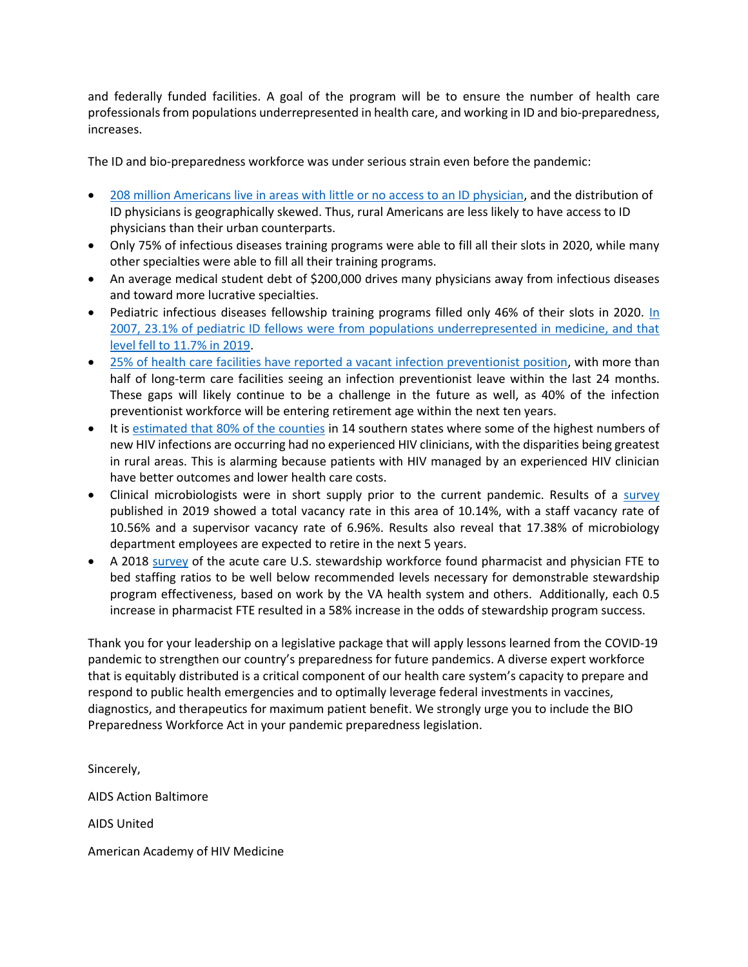and federally funded facilities. A goal of the program will be to ensure the number of health care professionals from populations underrepresented in health care, and working in ID and bio-preparedness, increases.

The ID and bio-preparedness workforce was under serious strain even before the pandemic:

- [208 million Americans live in areas with little or no access to an ID physician,](https://www.acpjournals.org/doi/full/10.7326/M20-2684) and the distribution of ID physicians is geographically skewed. Thus, rural Americans are less likely to have access to ID physicians than their urban counterparts.
- Only 75% of infectious diseases training programs were able to fill all their slots in 2020, while many other specialties were able to fill all their training programs.
- An average medical student debt of \$200,000 drives many physicians away from infectious diseases and toward more lucrative specialties.
- Pediatric infectious diseases fellowship training programs filled only 46% of their slots in 2020. In [2007, 23.1% of pediatric ID fellows were from populations underrepresented in medicine, and that](https://publications.aap.org/pediatrics/article-abstract/148/1/e2020026666/179957/Trends-in-Race-Ethnicity-of-Pediatric-Residents?redirectedFrom=fulltext)  [level fell to 11.7% in 2019.](https://publications.aap.org/pediatrics/article-abstract/148/1/e2020026666/179957/Trends-in-Race-Ethnicity-of-Pediatric-Residents?redirectedFrom=fulltext)
- [25% of health care facilities have reported a vacant infection preventionist position,](https://pubmed.ncbi.nlm.nih.gov/32702390/) with more than half of long-term care facilities seeing an infection preventionist leave within the last 24 months. These gaps will likely continue to be a challenge in the future as well, as 40% of the infection preventionist workforce will be entering retirement age within the next ten years.
- It is [estimated that 80% of the counties](https://academic.oup.com/cid/article-abstract/72/9/1615/5811408?redirectedFrom=fulltext) in 14 southern states where some of the highest numbers of new HIV infections are occurring had no experienced HIV clinicians, with the disparities being greatest in rural areas. This is alarming because patients with HIV managed by an experienced HIV clinician have better outcomes and lower health care costs.
- Clinical microbiologists were in short supply prior to the current pandemic. Results of a [survey](https://doi.org/10.1093/ajcp/aqz046) published in 2019 showed a total vacancy rate in this area of 10.14%, with a staff vacancy rate of 10.56% and a supervisor vacancy rate of 6.96%. Results also reveal that 17.38% of microbiology department employees are expected to retire in the next 5 years.
- A 2018 [survey](https://academic.oup.com/cid/article/67/8/1168/4953703?login=true) of the acute care U.S. stewardship workforce found pharmacist and physician FTE to bed staffing ratios to be well below recommended levels necessary for demonstrable stewardship program effectiveness, based on work by the VA health system and others. Additionally, each 0.5 increase in pharmacist FTE resulted in a 58% increase in the odds of stewardship program success.

Thank you for your leadership on a legislative package that will apply lessons learned from the COVID-19 pandemic to strengthen our country's preparedness for future pandemics. A diverse expert workforce that is equitably distributed is a critical component of our health care system's capacity to prepare and respond to public health emergencies and to optimally leverage federal investments in vaccines, diagnostics, and therapeutics for maximum patient benefit. We strongly urge you to include the BIO Preparedness Workforce Act in your pandemic preparedness legislation.

Sincerely, AIDS Action Baltimore AIDS United American Academy of HIV Medicine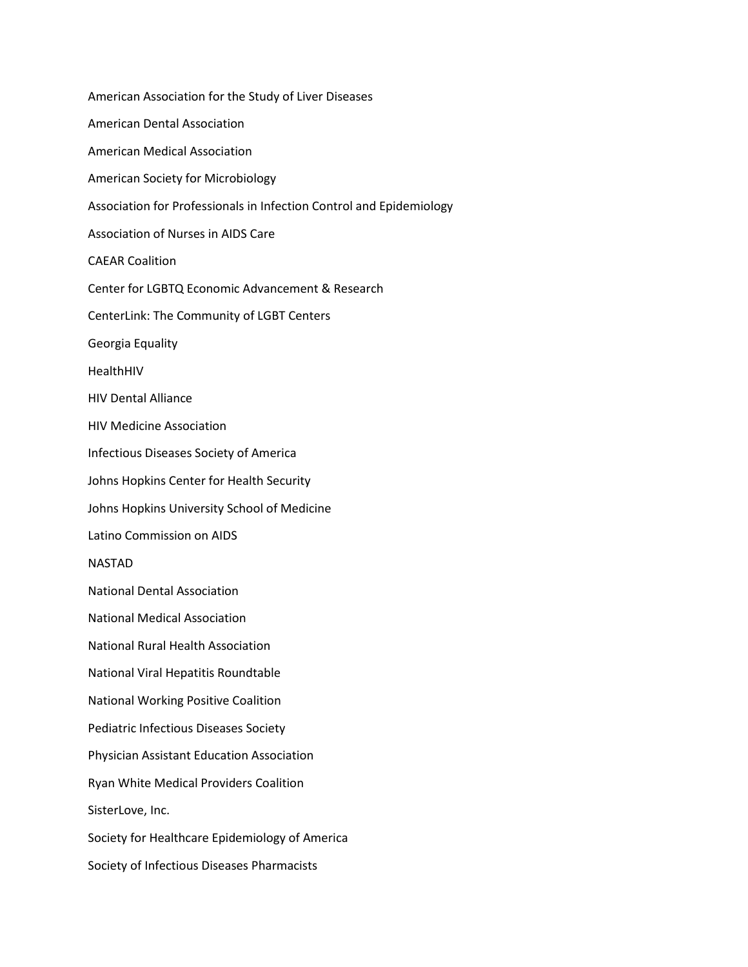American Association for the Study of Liver Diseases American Dental Association American Medical Association American Society for Microbiology Association for Professionals in Infection Control and Epidemiology Association of Nurses in AIDS Care CAEAR Coalition Center for LGBTQ Economic Advancement & Research CenterLink: The Community of LGBT Centers Georgia Equality HealthHIV HIV Dental Alliance HIV Medicine Association Infectious Diseases Society of America Johns Hopkins Center for Health Security Johns Hopkins University School of Medicine Latino Commission on AIDS NASTAD National Dental Association National Medical Association National Rural Health Association National Viral Hepatitis Roundtable National Working Positive Coalition Pediatric Infectious Diseases Society Physician Assistant Education Association Ryan White Medical Providers Coalition SisterLove, Inc. Society for Healthcare Epidemiology of America Society of Infectious Diseases Pharmacists